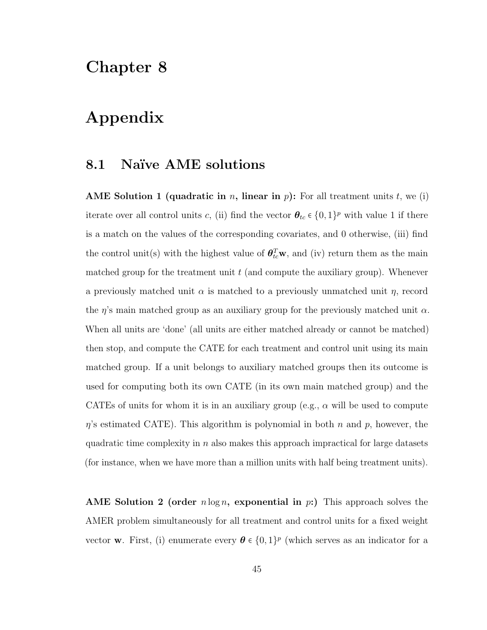## Chapter 8

## Appendix

#### 8.1 Naïve AME solutions

AME Solution 1 (quadratic in n, linear in p): For all treatment units t, we (i) iterate over all control units c, (ii) find the vector  $\theta_{tc} \in \{0,1\}^p$  with value 1 if there is a match on the values of the corresponding covariates, and 0 otherwise, (iii) find the control unit(s) with the highest value of  $\theta_{tc}^T$  w, and (iv) return them as the main matched group for the treatment unit  $t$  (and compute the auxiliary group). Whenever a previously matched unit  $\alpha$  is matched to a previously unmatched unit  $\eta$ , record the  $\eta$ 's main matched group as an auxiliary group for the previously matched unit  $\alpha$ . When all units are 'done' (all units are either matched already or cannot be matched) then stop, and compute the CATE for each treatment and control unit using its main matched group. If a unit belongs to auxiliary matched groups then its outcome is used for computing both its own CATE (in its own main matched group) and the CATEs of units for whom it is in an auxiliary group (e.g.,  $\alpha$  will be used to compute  $\eta$ 's estimated CATE). This algorithm is polynomial in both n and p, however, the quadratic time complexity in  $n$  also makes this approach impractical for large datasets (for instance, when we have more than a million units with half being treatment units).

AME Solution 2 (order  $n \log n$ , exponential in  $p$ :) This approach solves the AMER problem simultaneously for all treatment and control units for a fixed weight vector **w**. First, (i) enumerate every  $\theta \in \{0,1\}^p$  (which serves as an indicator for a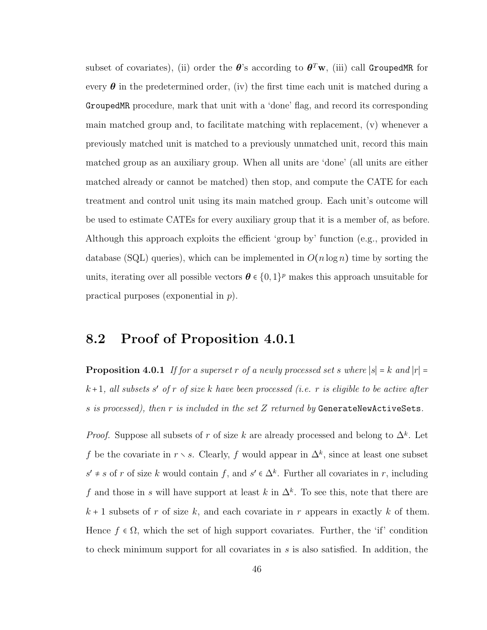subset of covariates), (ii) order the  $\bm{\theta}$ 's according to  $\bm{\theta}^T\mathbf{w},$  (iii) call GroupedMR for every  $\theta$  in the predetermined order, (iv) the first time each unit is matched during a GroupedMR procedure, mark that unit with a 'done' flag, and record its corresponding main matched group and, to facilitate matching with replacement, (v) whenever a previously matched unit is matched to a previously unmatched unit, record this main matched group as an auxiliary group. When all units are 'done' (all units are either matched already or cannot be matched) then stop, and compute the CATE for each treatment and control unit using its main matched group. Each unit's outcome will be used to estimate CATEs for every auxiliary group that it is a member of, as before. Although this approach exploits the efficient 'group by' function (e.g., provided in database (SQL) queries), which can be implemented in  $O(n \log n)$  time by sorting the units, iterating over all possible vectors  $\boldsymbol{\theta} \in \{0,1\}^p$  makes this approach unsuitable for practical purposes (exponential in p).

### 8.2 Proof of Proposition 4.0.1

**Proposition 4.0.1** If for a superset r of a newly processed set s where  $|s| = k$  and  $|r| =$  $k+1$ , all subsets s' of r of size k have been processed (i.e. r is eligible to be active after s is processed), then r is included in the set  $Z$  returned by GenerateNewActiveSets.

*Proof.* Suppose all subsets of r of size k are already processed and belong to  $\Delta^k$ . Let f be the covariate in  $r \setminus s$ . Clearly, f would appear in  $\Delta^k$ , since at least one subset  $s' \neq s$  of r of size k would contain f, and  $s' \in \Delta^k$ . Further all covariates in r, including f and those in s will have support at least k in  $\Delta^k$ . To see this, note that there are  $k + 1$  subsets of r of size k, and each covariate in r appears in exactly k of them. Hence  $f \in \Omega$ , which the set of high support covariates. Further, the 'if' condition to check minimum support for all covariates in s is also satisfied. In addition, the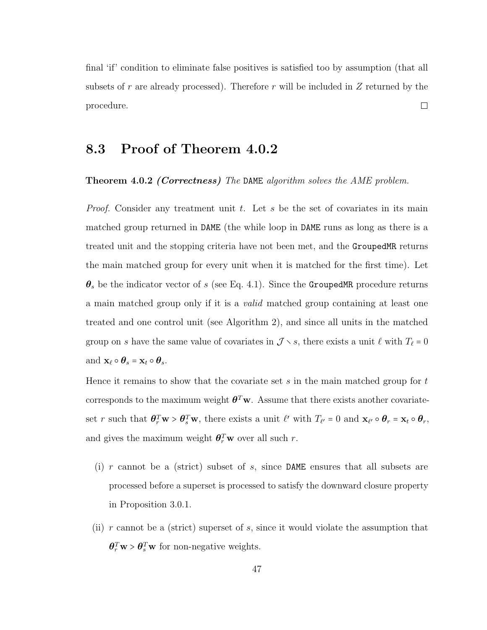final 'if' condition to eliminate false positives is satisfied too by assumption (that all subsets of r are already processed). Therefore r will be included in  $Z$  returned by the  $\Box$ procedure.

## 8.3 Proof of Theorem 4.0.2

**Theorem 4.0.2 (Correctness)** The DAME algorithm solves the AME problem.

*Proof.* Consider any treatment unit t. Let s be the set of covariates in its main matched group returned in DAME (the while loop in DAME runs as long as there is a treated unit and the stopping criteria have not been met, and the GroupedMR returns the main matched group for every unit when it is matched for the first time). Let  $\theta_s$  be the indicator vector of s (see Eq. 4.1). Since the GroupedMR procedure returns a main matched group only if it is a *valid* matched group containing at least one treated and one control unit (see Algorithm 2), and since all units in the matched group on s have the same value of covariates in  $\mathcal{J} \setminus s$ , there exists a unit  $\ell$  with  $T_{\ell} = 0$ and  $\mathbf{x}_{\ell} \circ \boldsymbol{\theta}_s = \mathbf{x}_t \circ \boldsymbol{\theta}_s$ .

Hence it remains to show that the covariate set  $s$  in the main matched group for  $t$ corresponds to the maximum weight  $\theta^T \mathbf{w}$ . Assume that there exists another covariateset r such that  $\theta_r^T \mathbf{w} > \theta_s^T \mathbf{w}$ , there exists a unit  $\ell'$  with  $T_{\ell'} = 0$  and  $\mathbf{x}_{\ell'} \circ \theta_r = \mathbf{x}_t \circ \theta_r$ , and gives the maximum weight  $\theta_r^T \mathbf{w}$  over all such r.

- (i)  $r$  cannot be a (strict) subset of  $s$ , since DAME ensures that all subsets are processed before a superset is processed to satisfy the downward closure property in Proposition 3.0.1.
- (ii) r cannot be a (strict) superset of s, since it would violate the assumption that  $\boldsymbol{\theta}_r^T \mathbf{w} > \boldsymbol{\theta}_s^T \mathbf{w}$  for non-negative weights.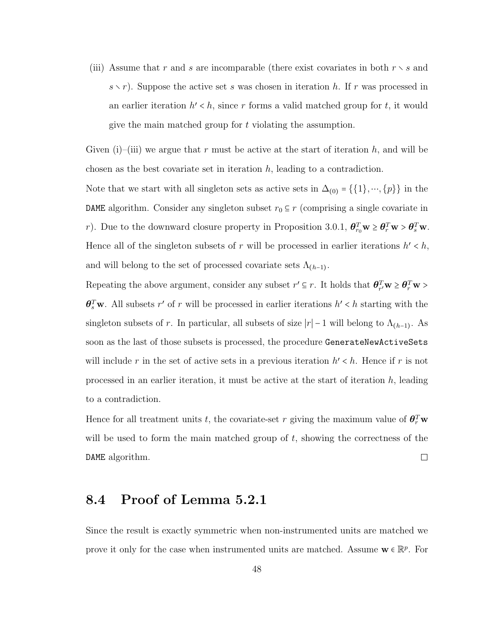(iii) Assume that r and s are incomparable (there exist covariates in both  $r \setminus s$  and  $s \setminus r$ ). Suppose the active set s was chosen in iteration h. If r was processed in an earlier iteration  $h' < h$ , since r forms a valid matched group for t, it would give the main matched group for t violating the assumption.

Given (i)–(iii) we argue that r must be active at the start of iteration h, and will be chosen as the best covariate set in iteration  $h$ , leading to a contradiction.

Note that we start with all singleton sets as active sets in  $\Delta_{(0)} = \{\{1\}, \dots, \{p\}\}\$ in the DAME algorithm. Consider any singleton subset  $r_0 \subseteq r$  (comprising a single covariate in r). Due to the downward closure property in Proposition 3.0.1,  $\theta_{r_0}^T \mathbf{w} \ge \theta_r^T \mathbf{w} > \theta_s^T \mathbf{w}$ . Hence all of the singleton subsets of r will be processed in earlier iterations  $h' < h$ , and will belong to the set of processed covariate sets  $\Lambda_{(h-1)}$ .

Repeating the above argument, consider any subset  $r' \subseteq r$ . It holds that  $\theta_{r'}^T w \ge \theta_r^T w$  $\theta_s^T$ w. All subsets r' of r will be processed in earlier iterations  $h' < h$  starting with the singleton subsets of r. In particular, all subsets of size  $|r| - 1$  will belong to  $\Lambda_{(h-1)}$ . As soon as the last of those subsets is processed, the procedure GenerateNewActiveSets will include r in the set of active sets in a previous iteration  $h' < h$ . Hence if r is not processed in an earlier iteration, it must be active at the start of iteration  $h$ , leading to a contradiction.

Hence for all treatment units t, the covariate-set r giving the maximum value of  $\theta_r^T \mathbf{w}$ will be used to form the main matched group of  $t$ , showing the correctness of the  $\Box$ DAME algorithm.

#### 8.4 Proof of Lemma 5.2.1

Since the result is exactly symmetric when non-instrumented units are matched we prove it only for the case when instrumented units are matched. Assume  $\mathbf{w} \in \mathbb{R}^p$ . For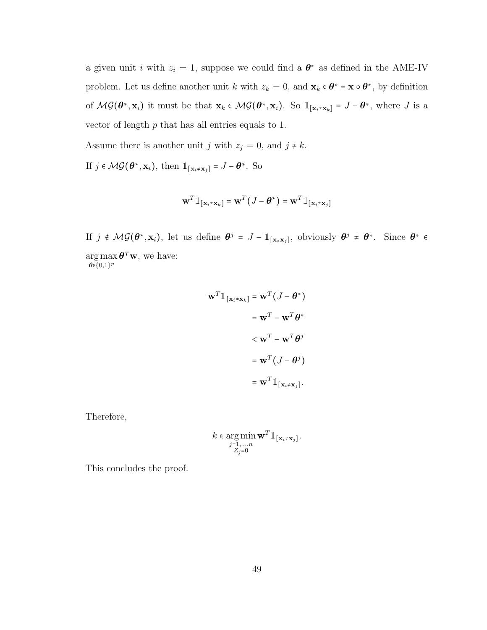a given unit *i* with  $z_i = 1$ , suppose we could find a  $\theta^*$  as defined in the AME-IV problem. Let us define another unit k with  $z_k = 0$ , and  $\mathbf{x}_k \circ \boldsymbol{\theta}^* = \mathbf{x} \circ \boldsymbol{\theta}^*$ , by definition of  $\mathcal{MG}(\boldsymbol{\theta}^*, \mathbf{x}_i)$  it must be that  $\mathbf{x}_k \in \mathcal{MG}(\boldsymbol{\theta}^*, \mathbf{x}_i)$ . So  $\mathbb{1}_{[\mathbf{x}_i \neq \mathbf{x}_k]} = J - \boldsymbol{\theta}^*$ , where J is a vector of length  $p$  that has all entries equals to 1.

Assume there is another unit j with  $z_j = 0$ , and  $j \neq k$ .

If  $j \in \mathcal{MG}(\boldsymbol{\theta}^*, \mathbf{x}_i)$ , then  $\mathbb{1}_{[\mathbf{x}_i \neq \mathbf{x}_j]} = J - \boldsymbol{\theta}^*$ . So

$$
\mathbf{w}^T \mathbb{1}_{[\mathbf{x}_i \neq \mathbf{x}_k]} = \mathbf{w}^T (J - \boldsymbol{\theta}^*) = \mathbf{w}^T \mathbb{1}_{[\mathbf{x}_i \neq \mathbf{x}_j]}
$$

If  $j \notin \mathcal{MG}(\theta^*, \mathbf{x}_i)$ , let us define  $\theta^j = J - \mathbb{1}_{\{\mathbf{x}_\neq \mathbf{x}_j\}}$ , obviously  $\theta^j \neq \theta^*$ . Since  $\theta^* \in$  $\arg \max \boldsymbol{\theta}^T \mathbf{w}$ , we have:  $\theta \in \{0,1\}^p$ 

$$
\mathbf{w}^T \mathbb{1}_{[\mathbf{x}_i \neq \mathbf{x}_k]} = \mathbf{w}^T (J - \boldsymbol{\theta}^*)
$$

$$
= \mathbf{w}^T - \mathbf{w}^T \boldsymbol{\theta}^*
$$

$$
< \mathbf{w}^T - \mathbf{w}^T \boldsymbol{\theta}^j
$$

$$
= \mathbf{w}^T (J - \boldsymbol{\theta}^j)
$$

$$
= \mathbf{w}^T \mathbb{1}_{[\mathbf{x}_i \neq \mathbf{x}_j]}.
$$

Therefore,

$$
k \in \underset{\substack{j=1,\ldots,n\\Z_j=0}}{\arg \min} \mathbf{w}^T \mathbb{1}_{\{\mathbf{x}_i \neq \mathbf{x}_j\}}.
$$

This concludes the proof.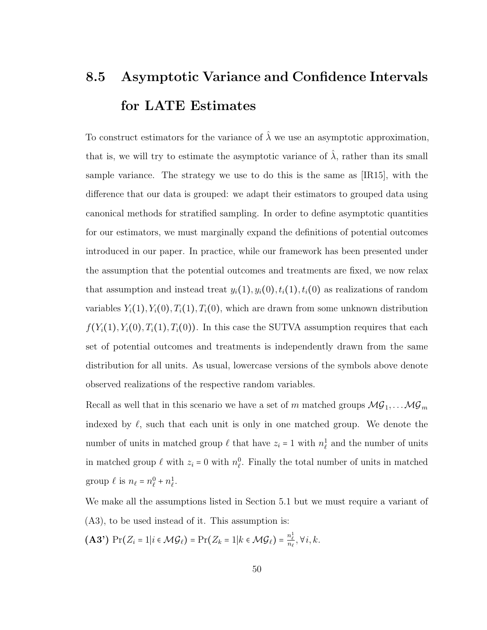# 8.5 Asymptotic Variance and Confidence Intervals for LATE Estimates

To construct estimators for the variance of  $\hat{\lambda}$  we use an asymptotic approximation, that is, we will try to estimate the asymptotic variance of  $\hat{\lambda}$ , rather than its small sample variance. The strategy we use to do this is the same as [IR15], with the difference that our data is grouped: we adapt their estimators to grouped data using canonical methods for stratified sampling. In order to define asymptotic quantities for our estimators, we must marginally expand the definitions of potential outcomes introduced in our paper. In practice, while our framework has been presented under the assumption that the potential outcomes and treatments are fixed, we now relax that assumption and instead treat  $y_i(1), y_i(0), t_i(1), t_i(0)$  as realizations of random variables  $Y_i(1), Y_i(0), T_i(1), T_i(0)$ , which are drawn from some unknown distribution  $f(Y_i(1), Y_i(0), T_i(1), T_i(0))$ . In this case the SUTVA assumption requires that each set of potential outcomes and treatments is independently drawn from the same distribution for all units. As usual, lowercase versions of the symbols above denote observed realizations of the respective random variables.

Recall as well that in this scenario we have a set of  $m$  matched groups  $\mathcal{MG}_1, \ldots \mathcal{MG}_m$ indexed by  $\ell$ , such that each unit is only in one matched group. We denote the number of units in matched group  $\ell$  that have  $z_i = 1$  with  $n_\ell^1$  and the number of units in matched group  $\ell$  with  $z_i = 0$  with  $n_{\ell}^0$ . Finally the total number of units in matched group  $\ell$  is  $n_{\ell} = n_{\ell}^0 + n_{\ell}^1$ .

We make all the assumptions listed in Section 5.1 but we must require a variant of (A3), to be used instead of it. This assumption is:

(A3')  $Pr(Z_i = 1 | i \in \mathcal{MG}_\ell) = Pr(Z_k = 1 | k \in \mathcal{MG}_\ell) = \frac{n_\ell^1}{n_\ell}, \forall i, k.$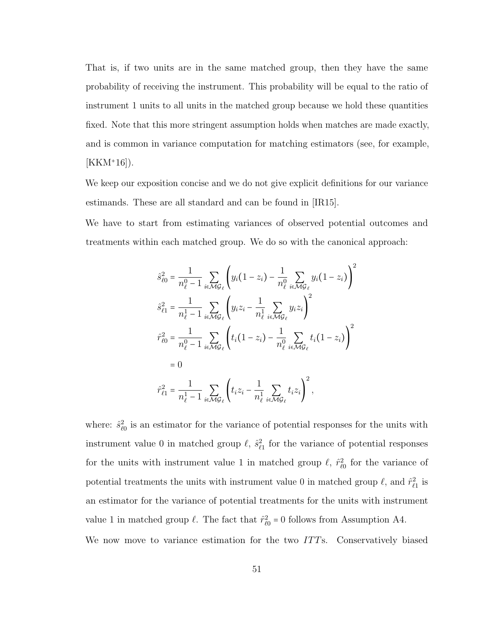That is, if two units are in the same matched group, then they have the same probability of receiving the instrument. This probability will be equal to the ratio of instrument 1 units to all units in the matched group because we hold these quantities fixed. Note that this more stringent assumption holds when matches are made exactly, and is common in variance computation for matching estimators (see, for example,  $[KKM^+16]$ .

We keep our exposition concise and we do not give explicit definitions for our variance estimands. These are all standard and can be found in [IR15].

We have to start from estimating variances of observed potential outcomes and treatments within each matched group. We do so with the canonical approach:

$$
\hat{s}_{\ell 0}^{2} = \frac{1}{n_{\ell}^{0} - 1} \sum_{i \in \mathcal{M}G_{\ell}} \left( y_{i} (1 - z_{i}) - \frac{1}{n_{\ell}^{0}} \sum_{i \in \mathcal{M}G_{\ell}} y_{i} (1 - z_{i}) \right)^{2}
$$
\n
$$
\hat{s}_{\ell 1}^{2} = \frac{1}{n_{\ell}^{1} - 1} \sum_{i \in \mathcal{M}G_{\ell}} \left( y_{i} z_{i} - \frac{1}{n_{\ell}^{1}} \sum_{i \in \mathcal{M}G_{\ell}} y_{i} z_{i} \right)^{2}
$$
\n
$$
\hat{r}_{\ell 0}^{2} = \frac{1}{n_{\ell}^{0} - 1} \sum_{i \in \mathcal{M}G_{\ell}} \left( t_{i} (1 - z_{i}) - \frac{1}{n_{\ell}^{0}} \sum_{i \in \mathcal{M}G_{\ell}} t_{i} (1 - z_{i}) \right)^{2}
$$
\n
$$
= 0
$$
\n
$$
\hat{r}_{\ell 1}^{2} = \frac{1}{n_{\ell}^{1} - 1} \sum_{i \in \mathcal{M}G_{\ell}} \left( t_{i} z_{i} - \frac{1}{n_{\ell}^{1}} \sum_{i \in \mathcal{M}G_{\ell}} t_{i} z_{i} \right)^{2},
$$

where:  $\hat{s}_{\ell 0}^2$  is an estimator for the variance of potential responses for the units with instrument value 0 in matched group  $\ell$ ,  $\hat{s}_{\ell_1}^2$  for the variance of potential responses for the units with instrument value 1 in matched group  $\ell$ ,  $\hat{r}_{\ell 0}^2$  for the variance of potential treatments the units with instrument value 0 in matched group  $\ell$ , and  $\hat{r}_{\ell_1}^2$  is an estimator for the variance of potential treatments for the units with instrument value 1 in matched group  $\ell$ . The fact that  $\hat{r}_{\ell 0}^2 = 0$  follows from Assumption A4. We now move to variance estimation for the two ITTs. Conservatively biased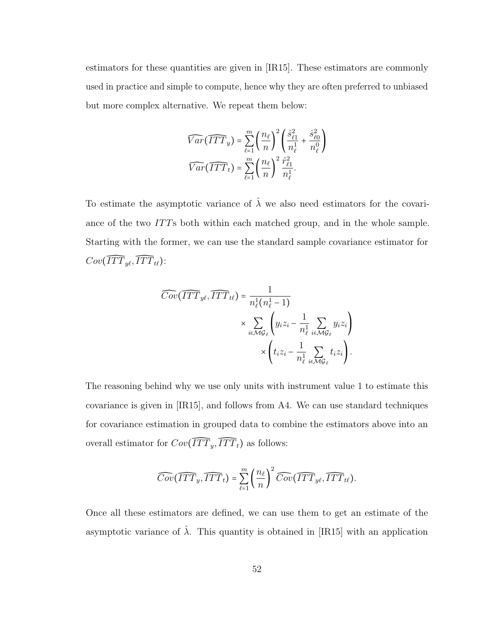estimators for these quantities are given in [IR15]. These estimators are commonly used in practice and simple to compute, hence why they are often preferred to unbiased but more complex alternative. We repeat them below:

$$
\widehat{Var}(\widehat{ITT}_y) = \sum_{\ell=1}^m \left(\frac{n_{\ell}}{n}\right)^2 \left(\frac{\hat{s}_{\ell 1}^2}{n_{\ell}^1} + \frac{\hat{s}_{\ell 0}^2}{n_{\ell}^0}\right)
$$

$$
\widehat{Var}(\widehat{ITT}_t) = \sum_{\ell=1}^m \left(\frac{n_{\ell}}{n}\right)^2 \frac{\hat{r}_{\ell 1}^2}{n_{\ell}^1}.
$$

To estimate the asymptotic variance of  $\hat{\lambda}$  we also need estimators for the covariance of the two ITTs both within each matched group, and in the whole sample. Starting with the former, we can use the standard sample covariance estimator for  $Cov(\widehat{ITT}_{y\ell}, \widehat{ITT}_{t\ell})$ :

$$
\begin{aligned}\n\widehat{Cov}(\widehat{ITT}_{y\ell}, \widehat{ITT}_{t\ell}) &= \frac{1}{n_{\ell}^1(n_{\ell}^1 - 1)} \\
&\times \sum_{i \in \mathcal{MG}_{\ell}} \left( y_i z_i - \frac{1}{n_{\ell}^1} \sum_{i \in \mathcal{MG}_{\ell}} y_i z_i \right) \\
&\times \left( t_i z_i - \frac{1}{n_{\ell}^1} \sum_{i \in \mathcal{MG}_{\ell}} t_i z_i \right).\n\end{aligned}
$$

The reasoning behind why we use only units with instrument value 1 to estimate this covariance is given in [IR15], and follows from A4. We can use standard techniques for covariance estimation in grouped data to combine the estimators above into an overall estimator for  $Cov(\widehat{ITT}_y, \widehat{ITT}_t)$  as follows:

$$
\widehat{Cov}(\widehat{ITT}_y, \widehat{ITT}_t) = \sum_{\ell=1}^m \left(\frac{n_{\ell}}{n}\right)^2 \widehat{Cov}(\widehat{ITT}_{y\ell}, \widehat{ITT}_{t\ell}).
$$

Once all these estimators are defined, we can use them to get an estimate of the asymptotic variance of  $\hat{\lambda}$ . This quantity is obtained in [IR15] with an application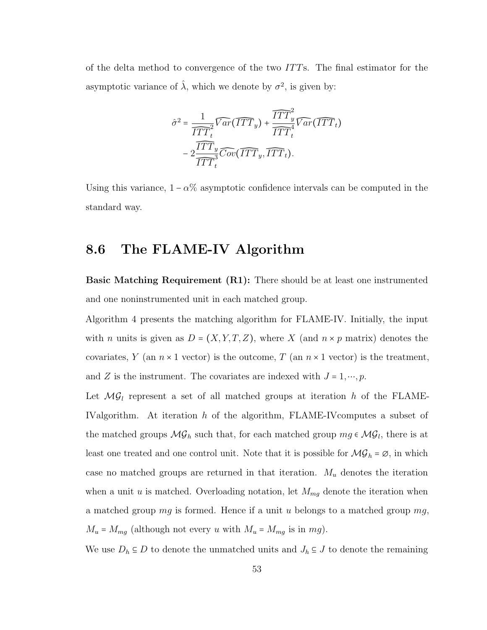of the delta method to convergence of the two ITTs. The final estimator for the asymptotic variance of  $\hat{\lambda}$ , which we denote by  $\sigma^2$ , is given by:

$$
\hat{\sigma}^2 = \frac{1}{\widehat{ITT}_t^2} \widehat{Var}(\widehat{ITT}_y) + \frac{\widehat{ITT}_y^2}{\widehat{ITT}_t^2} \widehat{Var}(\widehat{ITT}_t) - 2 \frac{\widehat{ITT}_y^2}{\widehat{ITT}_t^3} \widehat{Cov}(\widehat{ITT}_y, \widehat{ITT}_t).
$$

Using this variance,  $1 - \alpha$ % asymptotic confidence intervals can be computed in the standard way.

## 8.6 The FLAME-IV Algorithm

Basic Matching Requirement (R1): There should be at least one instrumented and one noninstrumented unit in each matched group.

Algorithm 4 presents the matching algorithm for FLAME-IV. Initially, the input with *n* units is given as  $D = (X, Y, T, Z)$ , where X (and  $n \times p$  matrix) denotes the covariates, Y (an  $n \times 1$  vector) is the outcome, T (an  $n \times 1$  vector) is the treatment, and Z is the instrument. The covariates are indexed with  $J = 1, \dots, p$ .

Let  $MG_l$  represent a set of all matched groups at iteration h of the FLAME-IValgorithm. At iteration h of the algorithm, FLAME-IVcomputes a subset of the matched groups  $\mathcal{MG}_h$  such that, for each matched group  $mg \in \mathcal{MG}_l$ , there is at least one treated and one control unit. Note that it is possible for  $\mathcal{MG}_h = \emptyset$ , in which case no matched groups are returned in that iteration.  $M_u$  denotes the iteration when a unit u is matched. Overloading notation, let  $M_{mg}$  denote the iteration when a matched group  $mg$  is formed. Hence if a unit u belongs to a matched group  $mg$ ,  $M_u = M_{mg}$  (although not every u with  $M_u = M_{mg}$  is in mg).

We use  $D_h \subseteq D$  to denote the unmatched units and  $J_h \subseteq J$  to denote the remaining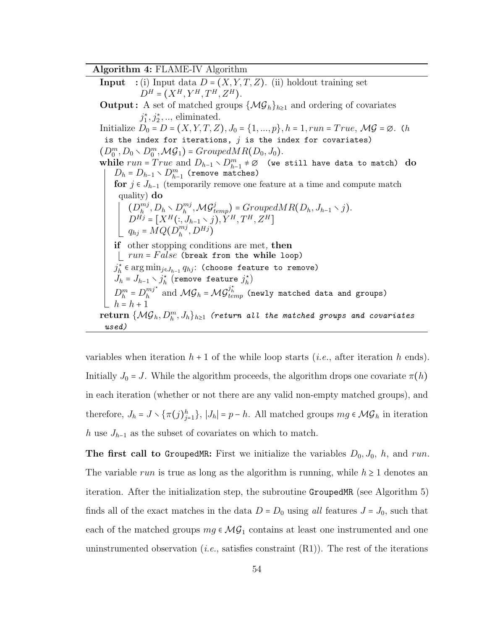#### Algorithm 4: FLAME-IV Algorithm

**Input** :(i) Input data  $D = (X, Y, T, Z)$ . (ii) holdout training set  $D^H = (X^H, Y^H, T^H, Z^H).$ **Output:** A set of matched groups  $\{\mathcal{MG}_h\}_{h\geq 1}$  and ordering of covariates  $j_1^*, j_2^*, \ldots$ , eliminated. Initialize  $D_0 = D = (X, Y, T, Z), J_0 = \{1, ..., p\}, h = 1, run = True, \mathcal{MG} = \emptyset$ . (h is the index for iterations,  $j$  is the index for covariates)  $(D_0^m, D_0 \setminus D_0^m, \mathcal{MG}_1) = GroupedMR(D_0, J_0).$ while  $run = True$  and  $D_{h-1} \setminus D_{h-1}^m \neq \emptyset$  (we still have data to match) do  $D_h = D_{h-1} \setminus D_{h-1}^m$  (remove matches) for  $j \in J_{h-1}$  (temporarily remove one feature at a time and compute match quality) do  $(D_h^{mj})$  $_{h}^{mj}, D_h \setminus D_h^{mj}$  $\mathcal{M}\mathcal{G}_{temp}^{j}$  = Grouped $MR(D_h, J_{h-1} \setminus j)$ .  $D^{Hj} = [X^H(:,J_{h-1}\setminus j), Y^H, T^H, Z^H]$  $q_{hj} = \tilde{M} Q (\tilde{D}_h^{mj}$  $_{h}^{m\jmath},D^{Hj})$ if other stopping conditions are met, then  $\lfloor$   $run = False$  (break from the while loop)  $j_h^{\star}$  ∈ arg min<sub>j∈J<sub>h-1</sub>  $q_{hj}$ : (choose feature to remove)</sub>  $J_h = J_{h-1} \setminus j_h^{\star}$  (remove feature  $j_h^{\star}$ )  $D_h^m = D_h^{mj^*}$  $\hat{\vec{h}}^{mj^\star}_h$  and  $\mathcal{MG}_h^i = \mathcal{MG}_{temp}^{j^\star}_h$  (newly matched data and groups)  $h = h + 1$  $\mathbf{return}\ \{\mathcal{MG}_h, D_h^m, J_h\}_{h\geq 1}\,$  (return all the matched groups and covariates used)

variables when iteration  $h + 1$  of the while loop starts (*i.e.*, after iteration h ends). Initially  $J_0 = J$ . While the algorithm proceeds, the algorithm drops one covariate  $\pi(h)$ in each iteration (whether or not there are any valid non-empty matched groups), and therefore,  $J_h = J \setminus {\{\pi(j)_{j=1}^h\}}$ ,  $|J_h| = p - h$ . All matched groups  $mg \in \mathcal{MG}_h$  in iteration h use  $J_{h-1}$  as the subset of covariates on which to match.

The first call to GroupedMR: First we initialize the variables  $D_0, J_0, h$ , and run. The variable run is true as long as the algorithm is running, while  $h \geq 1$  denotes an iteration. After the initialization step, the subroutine GroupedMR (see Algorithm 5) finds all of the exact matches in the data  $D = D_0$  using all features  $J = J_0$ , such that each of the matched groups  $mg \in \mathcal{MG}_1$  contains at least one instrumented and one uninstrumented observation (*i.e.*, satisfies constraint  $(R1)$ ). The rest of the iterations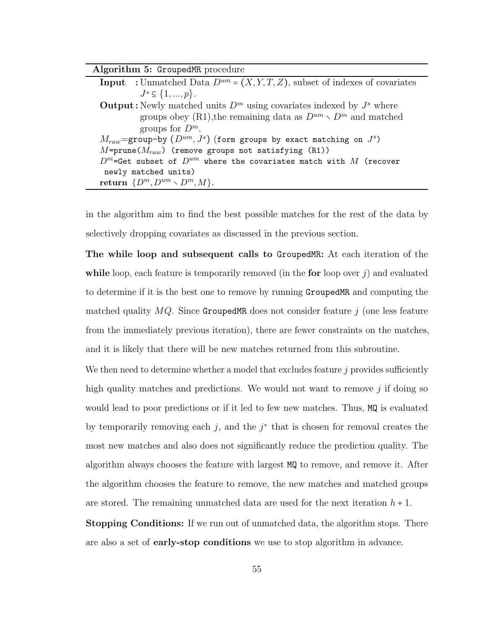| Algorithm 5: GroupedMR procedure                                                        |
|-----------------------------------------------------------------------------------------|
| <b>Input</b> : Unmatched Data $D^{um} = (X, Y, T, Z)$ , subset of indexes of covariates |
| $J^s \subseteq \{1, , p\}.$                                                             |
| <b>Output:</b> Newly matched units $D^m$ using covariates indexed by $J^s$ where        |
| groups obey (R1), the remaining data as $D^{um} \setminus D^m$ and matched              |
| groups for $D^m$ .                                                                      |
| $M_{raw}$ =group-by $(D^{um}, J^s)$ (form groups by exact matching on $J^s$ )           |
| $M = \text{prune}(M_{raw})$ (remove groups not satisfying (R1))                         |
| $D^m$ =Get subset of $D^{um}$ where the covariates match with $M$ (recover              |
| newly matched units)                                                                    |
| return $\{D^m, D^{um} \setminus D^m, M\}.$                                              |

in the algorithm aim to find the best possible matches for the rest of the data by selectively dropping covariates as discussed in the previous section.

The while loop and subsequent calls to GroupedMR: At each iteration of the while loop, each feature is temporarily removed (in the for loop over  $j$ ) and evaluated to determine if it is the best one to remove by running GroupedMR and computing the matched quality  $MQ$ . Since GroupedMR does not consider feature j (one less feature from the immediately previous iteration), there are fewer constraints on the matches, and it is likely that there will be new matches returned from this subroutine.

We then need to determine whether a model that excludes feature  $j$  provides sufficiently high quality matches and predictions. We would not want to remove  $j$  if doing so would lead to poor predictions or if it led to few new matches. Thus, MQ is evaluated by temporarily removing each j, and the  $j^*$  that is chosen for removal creates the most new matches and also does not significantly reduce the prediction quality. The algorithm always chooses the feature with largest MQ to remove, and remove it. After the algorithm chooses the feature to remove, the new matches and matched groups are stored. The remaining unmatched data are used for the next iteration  $h + 1$ .

**Stopping Conditions:** If we run out of unmatched data, the algorithm stops. There are also a set of early-stop conditions we use to stop algorithm in advance.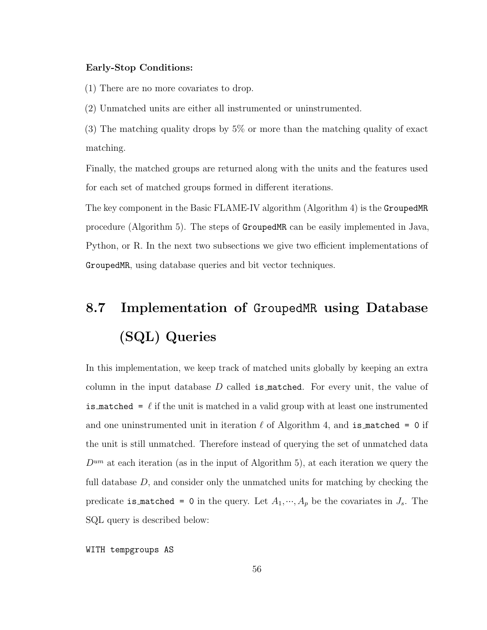#### Early-Stop Conditions:

(1) There are no more covariates to drop.

(2) Unmatched units are either all instrumented or uninstrumented.

(3) The matching quality drops by 5% or more than the matching quality of exact matching.

Finally, the matched groups are returned along with the units and the features used for each set of matched groups formed in different iterations.

The key component in the Basic FLAME-IV algorithm (Algorithm 4) is the GroupedMR procedure (Algorithm 5). The steps of GroupedMR can be easily implemented in Java, Python, or R. In the next two subsections we give two efficient implementations of GroupedMR, using database queries and bit vector techniques.

# 8.7 Implementation of GroupedMR using Database (SQL) Queries

In this implementation, we keep track of matched units globally by keeping an extra column in the input database  $D$  called is matched. For every unit, the value of is matched =  $\ell$  if the unit is matched in a valid group with at least one instrumented and one uninstrumented unit in iteration  $\ell$  of Algorithm 4, and is matched = 0 if the unit is still unmatched. Therefore instead of querying the set of unmatched data  $D^{um}$  at each iteration (as in the input of Algorithm 5), at each iteration we query the full database  $D$ , and consider only the unmatched units for matching by checking the predicate is matched = 0 in the query. Let  $A_1, ..., A_p$  be the covariates in  $J_s$ . The SQL query is described below:

WITH tempgroups AS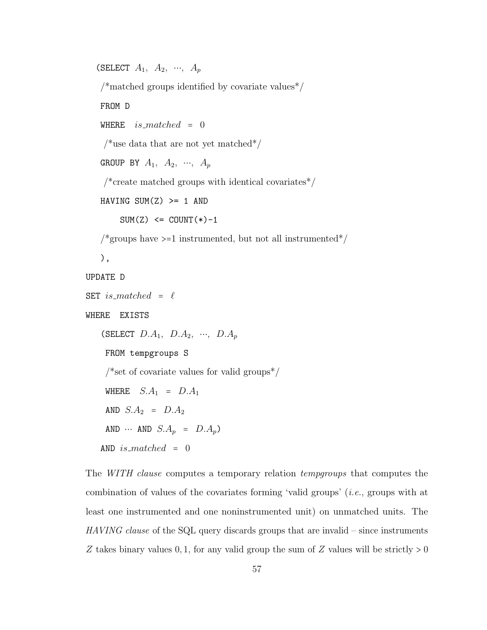(SELECT  $A_1$ ,  $A_2$ , ...,  $A_p$ 

 $\frac{1}{\sqrt{2}}$  matched groups identified by covariate values<sup>\*</sup>/

FROM D

WHERE  $is\_matched = 0$ 

/\*use data that are not yet matched\*/

```
GROUP BY A_1, A_2, ..., A_p
```
/\*create matched groups with identical covariates\*/  $\,$ 

```
HAVING SUM(Z) >= 1 AND
```
 $SUM(Z) \leq COUNT(*)-1$ 

/\*groups have  $>=1$  instrumented, but not all instrumented\*/

),

#### UPDATE D

```
SET is matched = \ell
```
WHERE EXISTS

(SELECT  $D.A_1$ ,  $D.A_2$ , …,  $D.A_p$ FROM tempgroups S /\*set of covariate values for valid groups $\frac{*}{ }$ WHERE  $S.A_1 = D.A_1$ AND  $S.A_2 = D.A_2$ AND  $\cdots$  AND  $S.A_p = D.A_p$ AND  $is\_matched = 0$ 

The *WITH clause* computes a temporary relation *tempgroups* that computes the combination of values of the covariates forming 'valid groups' (i.e., groups with at least one instrumented and one noninstrumented unit) on unmatched units. The HAVING clause of the SQL query discards groups that are invalid – since instruments Z takes binary values  $0, 1$ , for any valid group the sum of Z values will be strictly  $> 0$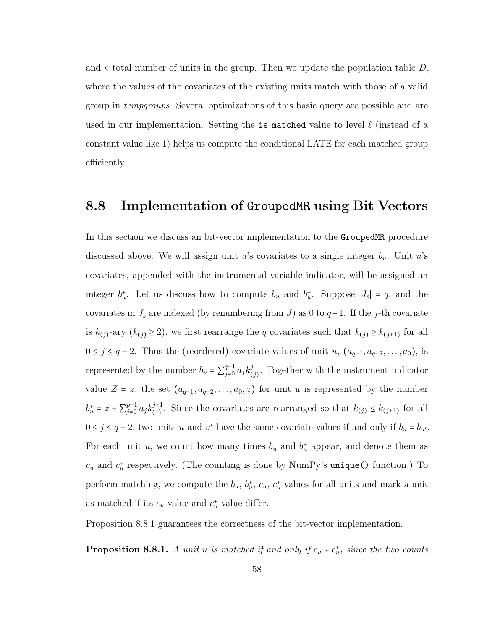and  $\lt$  total number of units in the group. Then we update the population table  $D$ , where the values of the covariates of the existing units match with those of a valid group in tempgroups. Several optimizations of this basic query are possible and are used in our implementation. Setting the is matched value to level  $\ell$  (instead of a constant value like 1) helps us compute the conditional LATE for each matched group efficiently.

#### 8.8 Implementation of GroupedMR using Bit Vectors

In this section we discuss an bit-vector implementation to the GroupedMR procedure discussed above. We will assign unit u's covariates to a single integer  $b_u$ . Unit u's covariates, appended with the instrumental variable indicator, will be assigned an integer  $b_u^*$ . Let us discuss how to compute  $b_u$  and  $b_u^*$ . Suppose  $|J_s| = q$ , and the covariates in  $J_s$  are indexed (by renumbering from  $J$ ) as 0 to  $q-1$ . If the j-th covariate is  $k_{(j)}$ -ary  $(k_{(j)} \ge 2)$ , we first rearrange the q covariates such that  $k_{(j)} \ge k_{(j+1)}$  for all  $0 \le j \le q-2$ . Thus the (reordered) covariate values of unit u,  $(a_{q-1}, a_{q-2}, \ldots, a_0)$ , is represented by the number  $b_u = \sum_{i=0}^{q-1}$  $_{j=0}^{q-1} a_j k^j$  $\int_{(j)}^{j}$ . Together with the instrument indicator value  $Z = z$ , the set  $(a_{q-1}, a_{q-2}, \ldots, a_0, z)$  for unit u is represented by the number  $b_u^+ = z + \sum_{j=0}^{p-1}$  $_{j=0}^{p-1} a_j k_{(j)}^{j+1}$  $j^{+1}_{(j)}$ . Since the covariates are rearranged so that  $k_{(j)} \leq k_{(j+1)}$  for all  $0 \leq j \leq q-2$ , two units u and u' have the same covariate values if and only if  $b_u = b_{u'}$ . For each unit u, we count how many times  $b_u$  and  $b_u^+$  appear, and denote them as  $c_u$  and  $c_u^+$  respectively. (The counting is done by NumPy's unique() function.) To perform matching, we compute the  $b_u$ ,  $b_u^*$ ,  $c_u$ ,  $c_u^*$  values for all units and mark a unit as matched if its  $c_u$  value and  $c_u^*$  value differ.

Proposition 8.8.1 guarantees the correctness of the bit-vector implementation.

**Proposition 8.8.1.** A unit u is matched if and only if  $c_u \neq c_u^*$ , since the two counts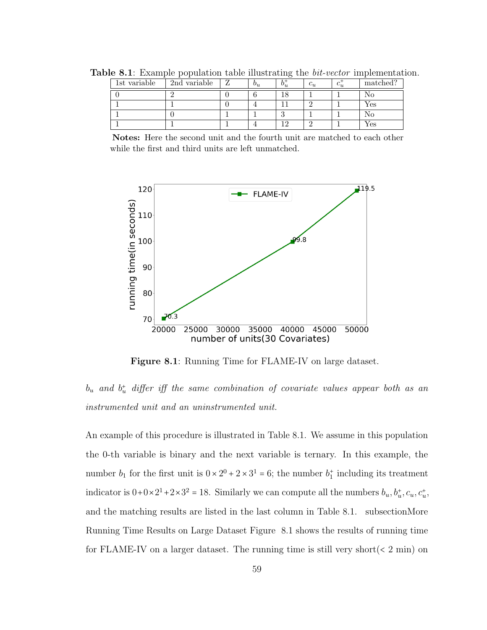| 1st variable | 2nd variable | $v_{u}$ | $v_{u}$ | $\sim$ | $v_{u}$ | matched? |
|--------------|--------------|---------|---------|--------|---------|----------|
|              |              |         |         |        |         |          |
|              |              |         |         |        |         | Yes      |
|              |              |         |         |        |         | NO.      |
|              |              |         |         |        |         | r es     |

**Table 8.1**: Example population table illustrating the *bit-vector* implementation.

Notes: Here the second unit and the fourth unit are matched to each other while the first and third units are left unmatched.



Figure 8.1: Running Time for FLAME-IV on large dataset.

 $b_u$  and  $b_u^+$  differ iff the same combination of covariate values appear both as an instrumented unit and an uninstrumented unit.

An example of this procedure is illustrated in Table 8.1. We assume in this population the 0-th variable is binary and the next variable is ternary. In this example, the number  $b_1$  for the first unit is  $0 \times 2^0 + 2 \times 3^1 = 6$ ; the number  $b_1^+$  including its treatment indicator is  $0+0\times2^1+2\times3^2=18$ . Similarly we can compute all the numbers  $b_u, b_u^+, c_u, c_u^+,$ and the matching results are listed in the last column in Table 8.1. subsectionMore Running Time Results on Large Dataset Figure 8.1 shows the results of running time for FLAME-IV on a larger dataset. The running time is still very short  $(< 2 \text{ min})$  on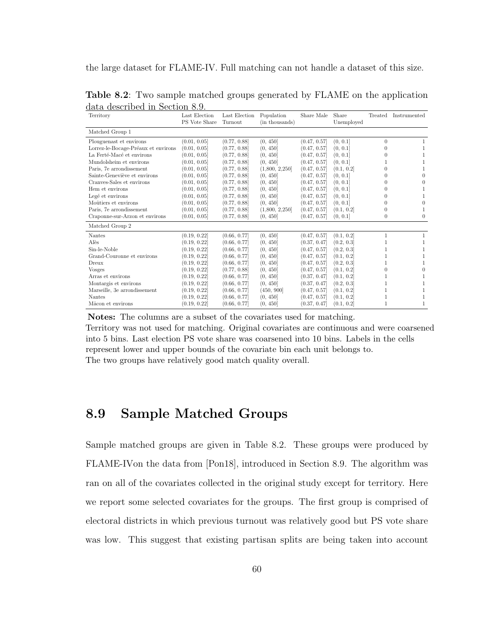the large dataset for FLAME-IV. Full matching can not handle a dataset of this size.

| Territory                           | Last Election | Last Election | Population     | Share Male   | Share      | Treated  | Instrumented |
|-------------------------------------|---------------|---------------|----------------|--------------|------------|----------|--------------|
|                                     | PS Vote Share | Turnout       | (in thousands) |              | Unemployed |          |              |
| Matched Group 1                     |               |               |                |              |            |          |              |
| Plouguenast et environs             | (0.01, 0.05]  | (0.77, 0.88]  | (0, 450]       | (0.47, 0.57] | (0, 0.1]   | $\theta$ |              |
| Lorrez-le-Bocage-Préaux et environs | (0.01, 0.05]  | (0.77, 0.88]  | (0, 450]       | (0.47, 0.57] | (0, 0.1]   | 0        |              |
| La Ferté-Macé et environs           | (0.01, 0.05]  | (0.77, 0.88]  | (0, 450]       | (0.47, 0.57] | (0, 0.1]   | 0        |              |
| Mundolsheim et environs             | (0.01, 0.05]  | (0.77, 0.88]  | (0, 450]       | (0.47, 0.57] | (0, 0.1]   |          |              |
| Paris, 7e arrondissement            | (0.01, 0.05]  | (0.77, 0.88]  | (1,800, 2,250] | (0.47, 0.57] | (0.1, 0.2] | 0        |              |
| Sainte-Geneviève et environs        | (0.01, 0.05]  | (0.77, 0.88]  | (0, 450]       | (0.47, 0.57] | (0, 0.1]   | 0        | $\Omega$     |
| Cranyes-Sales et environs           | (0.01, 0.05]  | (0.77, 0.88]  | (0, 450]       | (0.47, 0.57] | (0, 0.1]   | 0        | $\Omega$     |
| Hem et environs                     | (0.01, 0.05]  | (0.77, 0.88]  | (0, 450]       | (0.47, 0.57] | (0, 0.1]   | 0        |              |
| Legé et environs                    | (0.01, 0.05]  | (0.77, 0.88]  | (0, 450]       | (0.47, 0.57] | (0, 0.1]   |          |              |
| Moûtiers et environs                | (0.01, 0.05]  | (0.77, 0.88]  | (0, 450]       | (0.47, 0.57] | (0, 0.1]   |          |              |
| Paris, 7e arrondissement            | (0.01, 0.05]  | (0.77, 0.88]  | (1,800, 2,250] | (0.47, 0.57] | (0.1, 0.2] | $^{(1)}$ |              |
| Craponne-sur-Arzon et environs      | (0.01, 0.05]  | (0.77, 0.88]  | (0, 450]       | (0.47, 0.57] | (0, 0.1]   | $\theta$ | $\theta$     |
| Matched Group 2                     |               |               |                |              |            |          |              |
| Nantes                              | (0.19, 0.22]  | (0.66, 0.77]  | (0, 450]       | (0.47, 0.57] | (0.1, 0.2] | 1        | 1            |
| Alès                                | (0.19, 0.22]  | (0.66, 0.77]  | (0, 450]       | (0.37, 0.47] | (0.2, 0.3] |          |              |
| Sin-le-Noble                        | (0.19, 0.22]  | (0.66, 0.77]  | (0, 450]       | (0.47, 0.57] | (0.2, 0.3] |          |              |
| Grand-Couronne et environs          | (0.19, 0.22]  | (0.66, 0.77]  | (0, 450]       | (0.47, 0.57] | (0.1, 0.2] |          |              |
| Dreux                               | (0.19, 0.22]  | (0.66, 0.77]  | (0, 450]       | (0.47, 0.57] | (0.2, 0.3] |          |              |
| <b>Vosges</b>                       | (0.19, 0.22]  | (0.77, 0.88]  | (0, 450]       | (0.47, 0.57] | (0.1, 0.2] | 0        | $\Omega$     |
| Arras et environs                   | (0.19, 0.22]  | (0.66, 0.77]  | (0, 450]       | (0.37, 0.47] | (0.1, 0.2] |          |              |
| Montargis et environs               | (0.19, 0.22]  | (0.66, 0.77]  | (0, 450]       | (0.37, 0.47] | (0.2, 0.3] |          |              |
| Marseille, 3e arrondissement        | (0.19, 0.22]  | (0.66, 0.77]  | (450, 900]     | (0.47, 0.57] | (0.1, 0.2] |          |              |
| <b>Nantes</b>                       | (0.19, 0.22]  | (0.66, 0.77]  | (0, 450]       | (0.47, 0.57] | (0.1, 0.2] |          |              |
| Mâcon et environs                   | (0.19, 0.22]  | (0.66, 0.77]  | (0, 450]       | (0.37, 0.47] | (0.1, 0.2] | 1        |              |

Table 8.2: Two sample matched groups generated by FLAME on the application data described in Section 8.9.

Notes: The columns are a subset of the covariates used for matching.

Territory was not used for matching. Original covariates are continuous and were coarsened into 5 bins. Last election PS vote share was coarsened into 10 bins. Labels in the cells represent lower and upper bounds of the covariate bin each unit belongs to. The two groups have relatively good match quality overall.

#### 8.9 Sample Matched Groups

Sample matched groups are given in Table 8.2. These groups were produced by FLAME-IVon the data from [Pon18], introduced in Section 8.9. The algorithm was ran on all of the covariates collected in the original study except for territory. Here we report some selected covariates for the groups. The first group is comprised of electoral districts in which previous turnout was relatively good but PS vote share was low. This suggest that existing partisan splits are being taken into account